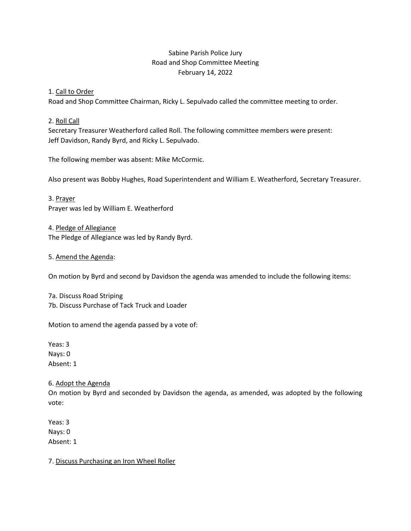# Sabine Parish Police Jury Road and Shop Committee Meeting February 14, 2022

## 1. Call to Order

Road and Shop Committee Chairman, Ricky L. Sepulvado called the committee meeting to order.

## 2. Roll Call

Secretary Treasurer Weatherford called Roll. The following committee members were present: Jeff Davidson, Randy Byrd, and Ricky L. Sepulvado.

The following member was absent: Mike McCormic.

Also present was Bobby Hughes, Road Superintendent and William E. Weatherford, Secretary Treasurer.

3. Prayer Prayer was led by William E. Weatherford

4. Pledge of Allegiance The Pledge of Allegiance was led by Randy Byrd.

5. Amend the Agenda:

On motion by Byrd and second by Davidson the agenda was amended to include the following items:

7a. Discuss Road Striping 7b. Discuss Purchase of Tack Truck and Loader

Motion to amend the agenda passed by a vote of:

Yeas: 3 Nays: 0 Absent: 1

### 6. Adopt the Agenda

On motion by Byrd and seconded by Davidson the agenda, as amended, was adopted by the following vote:

Yeas: 3 Nays: 0 Absent: 1

7. Discuss Purchasing an Iron Wheel Roller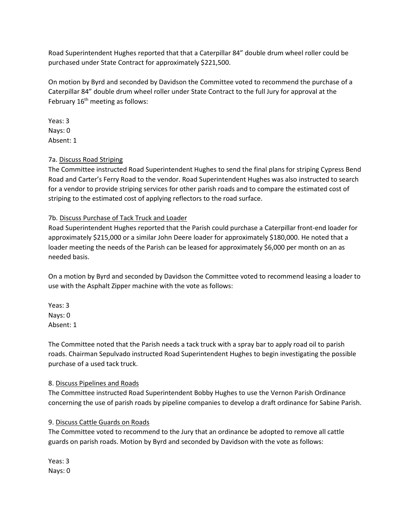Road Superintendent Hughes reported that that a Caterpillar 84" double drum wheel roller could be purchased under State Contract for approximately \$221,500.

On motion by Byrd and seconded by Davidson the Committee voted to recommend the purchase of a Caterpillar 84" double drum wheel roller under State Contract to the full Jury for approval at the February  $16<sup>th</sup>$  meeting as follows:

Yeas: 3 Nays: 0 Absent: 1

# 7a. Discuss Road Striping

The Committee instructed Road Superintendent Hughes to send the final plans for striping Cypress Bend Road and Carter's Ferry Road to the vendor. Road Superintendent Hughes was also instructed to search for a vendor to provide striping services for other parish roads and to compare the estimated cost of striping to the estimated cost of applying reflectors to the road surface.

# 7b. Discuss Purchase of Tack Truck and Loader

Road Superintendent Hughes reported that the Parish could purchase a Caterpillar front-end loader for approximately \$215,000 or a similar John Deere loader for approximately \$180,000. He noted that a loader meeting the needs of the Parish can be leased for approximately \$6,000 per month on an as needed basis.

On a motion by Byrd and seconded by Davidson the Committee voted to recommend leasing a loader to use with the Asphalt Zipper machine with the vote as follows:

Yeas: 3 Nays: 0 Absent: 1

The Committee noted that the Parish needs a tack truck with a spray bar to apply road oil to parish roads. Chairman Sepulvado instructed Road Superintendent Hughes to begin investigating the possible purchase of a used tack truck.

# 8. Discuss Pipelines and Roads

The Committee instructed Road Superintendent Bobby Hughes to use the Vernon Parish Ordinance concerning the use of parish roads by pipeline companies to develop a draft ordinance for Sabine Parish.

# 9. Discuss Cattle Guards on Roads

The Committee voted to recommend to the Jury that an ordinance be adopted to remove all cattle guards on parish roads. Motion by Byrd and seconded by Davidson with the vote as follows:

Yeas: 3 Nays: 0